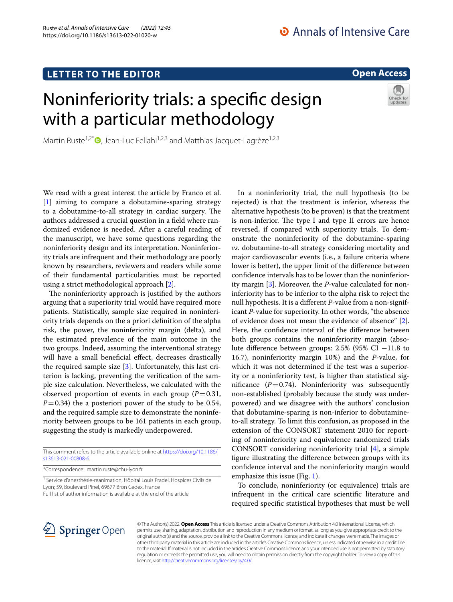## **LETTER TO THE EDITOR**

## **Open Access**

# Noninferiority trials: a specifc design with a particular methodology



Martin Ruste<sup>1,2[\\*](http://orcid.org/0000-0001-6831-2519)</sup>  $\bullet$ , Jean-Luc Fellahi<sup>1,2,3</sup> and Matthias Jacquet-Lagrèze<sup>1,2,3</sup>

We read with a great interest the article by Franco et al. [[1\]](#page-1-0) aiming to compare a dobutamine-sparing strategy to a dobutamine-to-all strategy in cardiac surgery. The authors addressed a crucial question in a feld where randomized evidence is needed. After a careful reading of the manuscript, we have some questions regarding the noninferiority design and its interpretation. Noninferiority trials are infrequent and their methodology are poorly known by researchers, reviewers and readers while some of their fundamental particularities must be reported using a strict methodological approach [[2\]](#page-1-1).

The noninferiority approach is justified by the authors arguing that a superiority trial would have required more patients. Statistically, sample size required in noninferiority trials depends on the a priori defnition of the alpha risk, the power, the noninferiority margin (delta), and the estimated prevalence of the main outcome in the two groups. Indeed, assuming the interventional strategy will have a small beneficial effect, decreases drastically the required sample size  $[3]$  $[3]$  $[3]$ . Unfortunately, this last criterion is lacking, preventing the verifcation of the sample size calculation. Nevertheless, we calculated with the observed proportion of events in each group  $(P=0.31,$  $P=0.34$ ) the a posteriori power of the study to be 0.54, and the required sample size to demonstrate the noninferiority between groups to be 161 patients in each group, suggesting the study is markedly underpowered.

This comment refers to the article available online at [https://doi.org/10.1186/](https://doi.org/10.1186/s13613-021-00808-6) [s13613-021-00808-6](https://doi.org/10.1186/s13613-021-00808-6).

\*Correspondence: martin.ruste@chu-lyon.fr

<sup>1</sup> Service d'anesthésie-reanimation, Hôpital Louis Pradel, Hospices Civils de Lyon; 59, Boulevard Pinel, 69677 Bron Cedex, France Full list of author information is available at the end of the article

In a noninferiority trial, the null hypothesis (to be rejected) is that the treatment is inferior, whereas the alternative hypothesis (to be proven) is that the treatment is non-inferior. The type I and type II errors are hence reversed, if compared with superiority trials. To demonstrate the noninferiority of the dobutamine-sparing *vs.* dobutamine-to-all strategy considering mortality and major cardiovascular events (i.e*.*, a failure criteria where lower is better), the upper limit of the diference between confdence intervals has to be lower than the noninferiority margin [\[3\]](#page-1-2). Moreover, the *P*-value calculated for noninferiority has to be inferior to the alpha risk to reject the null hypothesis. It is a diferent *P*-value from a non-significant *P*-value for superiority. In other words, "the absence of evidence does not mean the evidence of absence" [\[2](#page-1-1)]. Here, the confdence interval of the diference between both groups contains the noninferiority margin (absolute diference between groups: 2.5% (95% CI −11.8 to 16.7), noninferiority margin 10%) and the *P*-value, for which it was not determined if the test was a superiority or a noninferiority test, is higher than statistical significance  $(P=0.74)$ . Noninferiority was subsequently non-established (probably because the study was underpowered) and we disagree with the authors' conclusion that dobutamine-sparing is non-inferior to dobutamineto-all strategy. To limit this confusion, as proposed in the extension of the CONSORT statement 2010 for reporting of noninferiority and equivalence randomized trials CONSORT considering noninferiority trial [\[4](#page-1-3)], a simple fgure illustrating the diference between groups with its confdence interval and the noninferiority margin would emphasize this issue (Fig. [1](#page-1-4)).

To conclude, noninferiority (or equivalence) trials are infrequent in the critical care scientifc literature and required specifc statistical hypotheses that must be well



© The Author(s) 2022. **Open Access** This article is licensed under a Creative Commons Attribution 4.0 International License, which permits use, sharing, adaptation, distribution and reproduction in any medium or format, as long as you give appropriate credit to the original author(s) and the source, provide a link to the Creative Commons licence, and indicate if changes were made. The images or other third party material in this article are included in the article's Creative Commons licence, unless indicated otherwise in a credit line to the material. If material is not included in the article's Creative Commons licence and your intended use is not permitted by statutory regulation or exceeds the permitted use, you will need to obtain permission directly from the copyright holder. To view a copy of this licence, visit [http://creativecommons.org/licenses/by/4.0/.](http://creativecommons.org/licenses/by/4.0/)